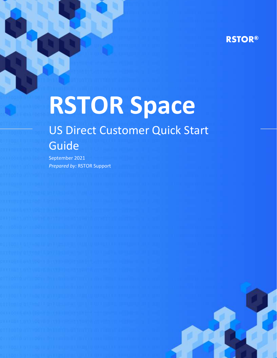# **RSTOR®**

# **RSTOR Space** US Direct Customer Quick Start Guide

September 2021 *Prepared by:* RSTOR Support

rstor.io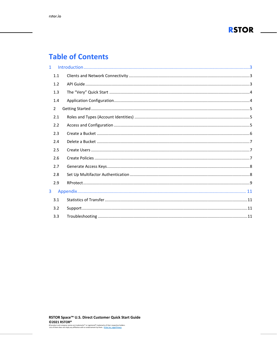

# **Table of Contents**

| $\mathbf{1}$ |                |  |
|--------------|----------------|--|
|              | 1.1            |  |
|              | 1.2            |  |
|              | 1.3            |  |
|              | 1.4            |  |
|              | $\overline{2}$ |  |
|              | 2.1            |  |
|              | 2.2            |  |
|              | 2.3            |  |
|              | 2.4            |  |
|              | 2.5            |  |
|              | 2.6            |  |
|              | 2.7            |  |
|              | 2.8            |  |
|              | 2.9            |  |
| 3            |                |  |
|              | 3.1            |  |
|              | 3.2            |  |
|              | 3.3            |  |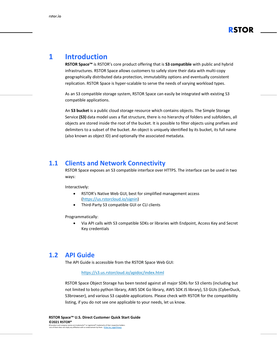

# <span id="page-2-0"></span>**1 Introduction**

**RSTOR Space™** is RSTOR's core product offering that is **S3 compatible** with public and hybrid infrastructures. RSTOR Space allows customers to safely store their data with multi-copy geographically distributed data protection, immutability options and eventually consistent replication. RSTOR Space is hyper-scalable to serve the needs of varying workload types.

As an S3 compatible storage system, RSTOR Space can easily be integrated with existing S3 compatible applications.

An **S3 bucket** is a public cloud storage resource which contains objects. The Simple Storage Service **(S3)** data model uses a flat structure, there is no hierarchy of folders and subfolders, all objects are stored inside the root of the bucket. It is possible to filter objects using prefixes and delimiters to a subset of the bucket. An object is uniquely identified by its bucket, its full name (also known as object ID) and optionally the associated metadata.

#### <span id="page-2-1"></span>**1.1 Clients and Network Connectivity**

RSTOR Space exposes an S3 compatible interface over HTTPS. The interface can be used in two ways:

Interactively:

- RSTOR's Native Web GUI, best for simplified management access [\(https://us.rstorcloud.io/signin\)](https://us.rstorcloud.io/signin)
- Third-Party S3 compatible GUI or CLI clients

Programmatically:

• Via API calls with S3 compatible SDKs or libraries with Endpoint, Access Key and Secret Key credentials

#### <span id="page-2-2"></span>**1.2 API Guide**

The API Guide is accessible from the RSTOR Space Web GUI:

#### <https://s3.us.rstorcloud.io/apidoc/index.html>

RSTOR Space Object Storage has been tested against all major SDKs for S3 clients (including but not limited to boto python library, AWS SDK Go library, AWS SDK JS library), S3 GUIs (CyberDuck, S3browser), and various S3 capable applications. Please check with RSTOR for the compatibility listing, if you do not see one applicable to your needs, let us know.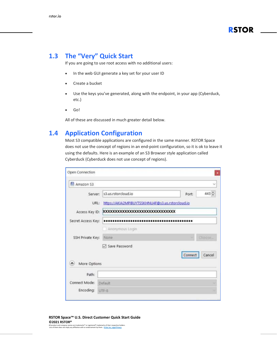# <span id="page-3-0"></span>**1.3 The "Very" Quick Start**

If you are going to use root access with no additional users:

- In the web GUI generate a key set for your user ID
- Create a bucket
- Use the keys you've generated, along with the endpoint, in your app (Cyberduck, etc.)
- Go!

All of these are discussed in much greater detail below.

# <span id="page-3-1"></span>**1.4 Application Configuration**

Most S3 compatible applications are configured in the same manner. RSTOR Space does not use the concept of regions in an end-point configuration, so it is ok to leave it using the defaults. Here is an example of an S3 Browser style application called Cyberduck (Cyberduck does not use concept of regions).

| Amazon S3          |                                                  |                   |  |  |  |  |  |
|--------------------|--------------------------------------------------|-------------------|--|--|--|--|--|
| Server:            | s3.us.rstorcloud.io                              | $443 -$<br>Port:  |  |  |  |  |  |
| URL:               | https://AKIA2MPIBUYTSSKHNU4F@s3.us.rstorcloud.io |                   |  |  |  |  |  |
|                    | Access Key ID: XXXXXXXXXXXXXXXXXXXXXXXXXXXXXX    |                   |  |  |  |  |  |
| Secret Access Key: |                                                  |                   |  |  |  |  |  |
|                    | Anonymous Login                                  |                   |  |  |  |  |  |
| SSH Private Key:   | None                                             | <b>Chaose</b>     |  |  |  |  |  |
|                    | Save Password                                    |                   |  |  |  |  |  |
|                    |                                                  | Connect<br>Cancel |  |  |  |  |  |
| More Options       |                                                  |                   |  |  |  |  |  |
| Path:              |                                                  |                   |  |  |  |  |  |
| Connect Mode:      | Default                                          |                   |  |  |  |  |  |
|                    |                                                  |                   |  |  |  |  |  |

#### **RSTOR Space™ U.S. Direct Customer Quick Start Guide ©2021 RSTOR®**

All product and company names are trademarks™ or registered® trademarks of their respective holders. Use of them does not imply any affiliation with or endorsement by them. **[R-Stor Inc. Legal Privacy](https://www.rstor.io/legal-privacy/)**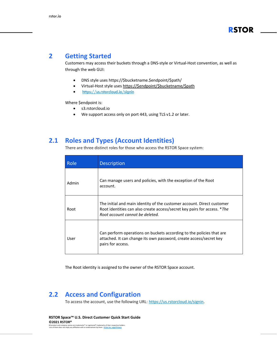# <span id="page-4-0"></span>**2 Getting Started**

Customers may access their buckets through a DNS-style or Virtual-Host convention, as well as through the web GUI:

- DNS style uses https://\$bucketname.\$endpoint/\$path/
- Virtual-Host style uses [https://\\$endpoint/\\$bucketname/\\$path](https://$endpoint/$bucketname/$path)
- <https://us.rstorcloud.io/signin>

Where \$endpoint is:

- s3.rstorcloud.io
- We support access only on port 443, using TLS v1.2 or later.

## <span id="page-4-1"></span>**2.1 Roles and Types (Account Identities)**

There are three distinct roles for those who access the RSTOR Space system:

| Role  | Description                                                                                                                                                                           |
|-------|---------------------------------------------------------------------------------------------------------------------------------------------------------------------------------------|
| Admin | Can manage users and policies, with the exception of the Root<br>account.                                                                                                             |
| Root  | The initial and main identity of the customer account. Direct customer<br>Root identities can also create access/secret key pairs for access. *The<br>Root account cannot be deleted. |
| User  | Can perform operations on buckets according to the policies that are<br>attached. It can change its own password, create access/secret key<br>pairs for access.                       |

The Root identity is assigned to the owner of the RSTOR Space account.

# <span id="page-4-2"></span>**2.2 Access and Configuration**

To access the account, use the following URL: [https://us.rstorcloud.io/signin.](https://us.rstorcloud.io/signin)

**RSTOR Space™ U.S. Direct Customer Quick Start Guide ©2021 RSTOR®** All product and company names are trademarks™ or registered® trademarks of their respective holders. Use of them does not imply any affiliation with or endorsement by them. **[R-Stor Inc. Legal Privacy](https://www.rstor.io/legal-privacy/)**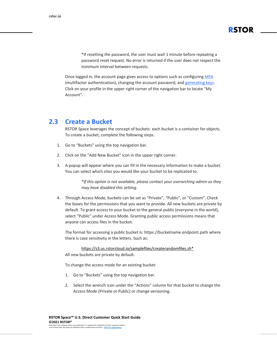\*If resetting the password, the user must wait 1 minute before repeating a password reset request. No error is returned if the user does not respect the minimum interval between requests.

**RSTOR**

Once logged in, the account page gives access to options such as configuring [MFA](#page-7-2) (multifactor [authentication\),](#page-7-2) changing the account password, and [generating](#page-7-0) keys. Click on your profile in the upper right corner of the navigation bar to locate "My Account".

#### <span id="page-5-0"></span>**2.3 Create a Bucket**

RSTOR Space leverages the concept of buckets: each bucket is a container for objects. To create a bucket, complete the following steps.

- 1. Go to "Buckets" using the top navigation bar.
- 2. Click on the "Add New Bucket" icon in the upper right corner.
- 3. A popup will appear where you can fill in the necessary information to make a bucket. You can select which sites you would like your bucket to be replicated to.

*\*If this option is not available, please contact your overarching admin as they may have disabled this setting.*

4. Through Access Mode, buckets can be set as "Private", "Public", or "Custom". Check the boxes for the permissions that you want to provide. All new buckets are private by default. To grant access to your bucket to the general public (everyone in the world), select "Public" under Access Mode. Granting public access permissions means that anyone can access files in the bucket.

The format for accessing a public bucket is: https://bucketname.endpoint.path where there is case sensitivity in the letters. Such as:

[https://s3.us.rstorcloud.io/samplefiles/createrandomfiles.sh\\*](https://s3.us.rstorcloud.io/samplefiles/createrandomfiles.sh)

All new buckets are private by default.

To change the access mode for an existing bucket:

- 1. Go to "Buckets" using the top navigation bar.
- 2. Select the wrench icon under the "Actions" column for that bucket to change the Access Mode (Private or Public) or change versioning.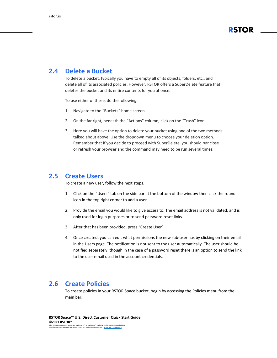

#### <span id="page-6-0"></span>**2.4 Delete a Bucket**

To delete a bucket, typically you have to empty all of its objects, folders, etc., and delete all of its associated policies. However, RSTOR offers a SuperDelete feature that deletes the bucket and its entire contents for you at once.

To use either of these, do the following:

- 1. Navigate to the "Buckets" home screen.
- 2. On the far right, beneath the "Actions" column, click on the "Trash" icon.
- 3. Here you will have the option to delete your bucket using one of the two methods talked about above. Use the dropdown menu to choose your deletion option. Remember that if you decide to proceed with SuperDelete, you should *not* close or refresh your browser and the command may need to be run several times.

#### <span id="page-6-1"></span>**2.5 Create Users**

To create a new user, follow the next steps.

- 1. Click on the "Users" tab on the side bar at the bottom of the window then click the round icon in the top right corner to add a user.
- 2. Provide the email you would like to give access to. The email address is not validated, and is only used for login purposes or to send password reset links.
- 3. After that has been provided, press "Create User".
- 4. Once created, you can edit what permissions the new sub-user has by clicking on their email in the Users page. The notification is not sent to the user automatically. The user should be notified separately, though in the case of a password reset there is an option to send the link to the user email used in the account credentials.

#### <span id="page-6-2"></span>**2.6 Create Policies**

To create policies in your RSTOR Space bucket, begin by accessing the Policies menu from the main bar.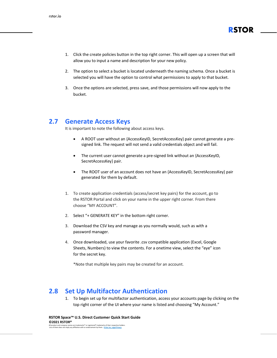

- 1. Click the create policies button in the top right corner. This will open up a screen that will allow you to input a name and description for your new policy.
- 2. The option to select a bucket is located underneath the naming schema. Once a bucket is selected you will have the option to control what permissions to apply to that bucket.
- 3. Once the options are selected, press save, and those permissions will now apply to the bucket.

# <span id="page-7-0"></span>**2.7 Generate Access Keys**

It is important to note the following about access keys.

- A ROOT user without an {AccessKeyID, SecretAccessKey} pair cannot generate a presigned link. The request will not send a valid credentials object and will fail.
- The current user cannot generate a pre-signed link without an {AccessKeyID, SecretAccessKey} pair.
- The ROOT user of an account does not have an {AccessKeyID, SecretAccessKey} pair generated for them by default.
- 1. To create application credentials (access/secret key pairs) for the account, go to the RSTOR Portal and click on your name in the upper right corner. From there choose "MY ACCOUNT".
- 2. Select "+ GENERATE KEY" in the bottom right corner.
- 3. Download the CSV key and manage as you normally would, such as with a password manager.
- 4. Once downloaded, use your favorite .csv compatible application (Excel, Google Sheets, Numbers) to view the contents. For a onetime view, select the "eye" icon for the secret key.

\*Note that multiple key pairs may be created for an account.

# <span id="page-7-1"></span>**2.8 Set Up Multifactor Authentication**

<span id="page-7-2"></span>1. To begin set up for multifactor authentication, access your accounts page by clicking on the top right corner of the UI where your name is listed and choosing "My Account."

**RSTOR Space™ U.S. Direct Customer Quick Start Guide ©2021 RSTOR®** All product and company names are trademarks™ or registered® trademarks of their respective holders. Use of them does not imply any affiliation with or endorsement by them. **[R-Stor Inc. Legal Privacy](https://www.rstor.io/legal-privacy/)**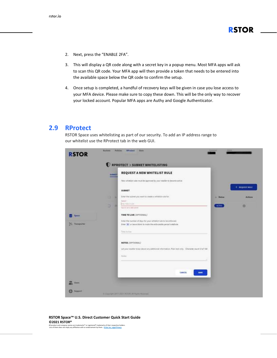- 2. Next, press the "ENABLE 2FA".
- 3. This will display a QR code along with a secret key in a popup menu. Most MFA apps will ask to scan this QR code. Your MFA app will then provide a token that needs to be entered into the available space below the QR code to confirm the setup.
- 4. Once setup is completed, a handful of recovery keys will be given in case you lose access to your MFA device. Please make sure to copy these down. This will be the only way to recover your locked account. Popular MFA apps are Authy and Google Authenticator.

# <span id="page-8-0"></span>**2.9 RProtect**

RSTOR Space uses whitelisting as part of our security. To add an IP address range to our whitelist use the RProtect tab in the web GUI.

|                                       | <b>SUBSET</b> | RPROTECT > SUBNET WHITELISTING<br>REQUEST A NEW WHITELIST RULE                                                                                                        |               |                         |
|---------------------------------------|---------------|-----------------------------------------------------------------------------------------------------------------------------------------------------------------------|---------------|-------------------------|
|                                       |               | New whitelist rules must be expressed by your resulter to become active                                                                                               |               |                         |
|                                       |               | SUBNET                                                                                                                                                                |               | $+$ <b>NEQUEST NULL</b> |
|                                       | o<br>u        | <b>SAIN MELLING MODERN</b><br>Enter the subret you want to create a whitefail rule for                                                                                | Shirtun<br>٠  | <b>Actions</b>          |
|                                       | D<br>п        | <b>Report</b><br><b>ITE THEILVES</b><br>Paper is not a called subject.                                                                                                | <b>ACTIVE</b> | a                       |
| <b>System</b>                         |               | TIME TO LIVE (OPTIONAL)                                                                                                                                               |               |                         |
| <b><i><u>Statements</u></i></b><br>29 |               | Enter the number of days for your whitelist nile to be enforced.<br>Zinter (#) or leave himst to inplie the enforceable period indefinite:                            |               |                         |
|                                       |               | VA 17<br>Time to live                                                                                                                                                 |               |                         |
|                                       |               | <b>NOTES (OPTIONAL)</b>                                                                                                                                               |               |                         |
|                                       |               | Let your reseller know about any additional information. Plan text only. Cherotte: cause 0 of 144.<br><u> 1949 - Francisco Maria de Maria de Militar de Secundo I</u> |               |                         |
|                                       |               | Norm                                                                                                                                                                  |               |                         |
|                                       |               | CANCEL<br><b>SAVE</b>                                                                                                                                                 |               |                         |
|                                       |               |                                                                                                                                                                       |               |                         |

#### **RSTOR Space™ U.S. Direct Customer Quick Start Guide ©2021 RSTOR®**

All product and company names are trademarks™ or registered® trademarks of their respective holders. Use of them does not imply any affiliation with or endorsement by them. **[R-Stor Inc. Legal Privacy](https://www.rstor.io/legal-privacy/)**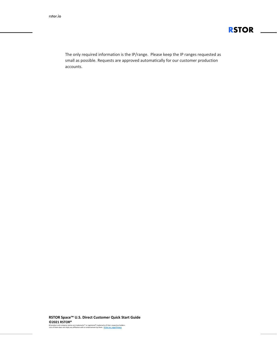

The only required information is the IP/range. Please keep the IP ranges requested as small as possible. Requests are approved automatically for our customer production accounts.

**RSTOR Space™ U.S. Direct Customer Quick Start Guide ©2021 RSTOR®** All product and company names are trademarks™ or registered® trademarks of their respective holders. Use of them does not imply any affiliation with or endorsement by them. **[R-Stor Inc. Legal Privacy](https://www.rstor.io/legal-privacy/)**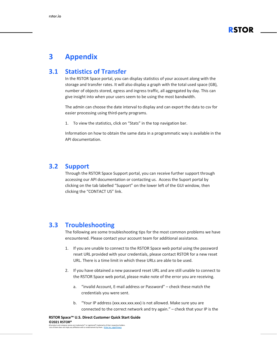

# <span id="page-10-0"></span>**3 Appendix**

#### <span id="page-10-1"></span>**3.1 Statistics of Transfer**

In the RSTOR Space portal, you can display statistics of your account along with the storage and transfer rates. It will also display a graph with the total used space (GB), number of objects stored, egress and ingress traffic, all aggregated by day. This can give insight into when your users seem to be using the most bandwidth.

The admin can choose the date interval to display and can export the data to csv for easier processing using third-party programs.

1. To view the statistics, click on "Stats" in the top navigation bar.

Information on how to obtain the same data in a programmatic way is available in the API documentation.

## <span id="page-10-2"></span>**3.2 Support**

Through the RSTOR Space Support portal, you can receive further support through accessing our API documentation or contacting us. Access the Suport portal by clicking on the tab labelled "Support" on the lower left of the GUI window, then clicking the "CONTACT US" link.

#### <span id="page-10-3"></span>**3.3 Troubleshooting**

The following are some troubleshooting tips for the most common problems we have encountered. Please contact your account team for additional assistance.

- 1. If you are unable to connect to the RSTOR Space web portal using the password reset URL provided with your credentials, please contact RSTOR for a new reset URL. There is a time limit in which these URLs are able to be used.
- 2. If you have obtained a new password reset URL and are still unable to connect to the RSTOR Space web portal, please make note of the error you are receiving.
	- a. "invalid Account, E-mail address or Password" check these match the credentials you were sent.
	- b. "Your IP address (xxx.xxx.xxx.xxx) is not allowed. Make sure you are connected to the correct network and try again." – check that your IP is the